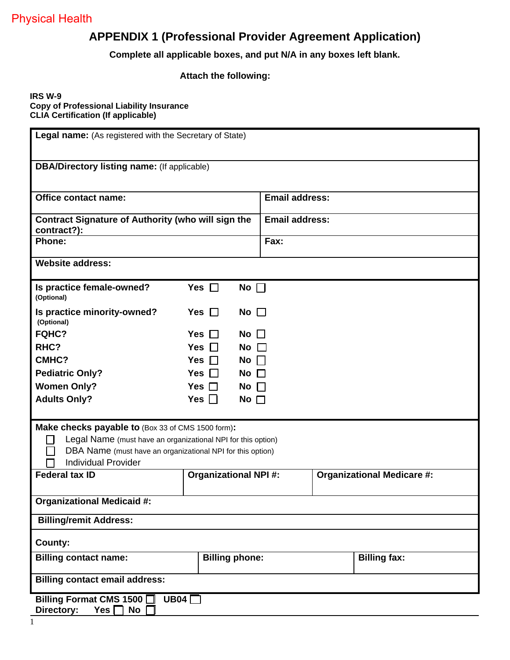## **APPENDIX 1 (Professional Provider Agreement Application)**

**Complete all applicable boxes, and put N/A in any boxes left blank.**

#### **Attach the following:**

#### **IRS W-9 Copy of Professional Liability Insurance CLIA Certification (If applicable)**

| Legal name: (As registered with the Secretary of State)                                                                                                                                                       |                                                    |                       |  |                                   |  |  |  |
|---------------------------------------------------------------------------------------------------------------------------------------------------------------------------------------------------------------|----------------------------------------------------|-----------------------|--|-----------------------------------|--|--|--|
|                                                                                                                                                                                                               | <b>DBA/Directory listing name:</b> (If applicable) |                       |  |                                   |  |  |  |
| <b>Office contact name:</b>                                                                                                                                                                                   |                                                    | <b>Email address:</b> |  |                                   |  |  |  |
| <b>Contract Signature of Authority (who will sign the</b><br>contract?):                                                                                                                                      |                                                    | <b>Email address:</b> |  |                                   |  |  |  |
| <b>Phone:</b>                                                                                                                                                                                                 |                                                    | Fax:                  |  |                                   |  |  |  |
| <b>Website address:</b>                                                                                                                                                                                       |                                                    |                       |  |                                   |  |  |  |
| Is practice female-owned?<br>(Optional)                                                                                                                                                                       | Yes $\Box$<br>No $\Box$                            |                       |  |                                   |  |  |  |
| Is practice minority-owned?<br>(Optional)                                                                                                                                                                     | Yes $\Box$<br>No $\square$                         |                       |  |                                   |  |  |  |
| FQHC?                                                                                                                                                                                                         | <b>Yes</b><br>No<br>$\blacksquare$                 | $\mathbf{I}$          |  |                                   |  |  |  |
| RHC?                                                                                                                                                                                                          | <b>Yes</b><br>No $\Box$<br>$\mathbf{L}$            |                       |  |                                   |  |  |  |
| CMHC?                                                                                                                                                                                                         | Yes $\Box$<br>$No$                                 |                       |  |                                   |  |  |  |
| <b>Pediatric Only?</b>                                                                                                                                                                                        | Yes $\Box$<br>No $\square$                         |                       |  |                                   |  |  |  |
| <b>Women Only?</b>                                                                                                                                                                                            | Yes $\Box$<br>No $\Box$                            |                       |  |                                   |  |  |  |
| <b>Adults Only?</b>                                                                                                                                                                                           | Yes $\Box$<br>No $\Box$                            |                       |  |                                   |  |  |  |
| Make checks payable to (Box 33 of CMS 1500 form):<br>Legal Name (must have an organizational NPI for this option)<br>DBA Name (must have an organizational NPI for this option)<br><b>Individual Provider</b> |                                                    |                       |  |                                   |  |  |  |
| <b>Federal tax ID</b>                                                                                                                                                                                         | <b>Organizational NPI#:</b>                        |                       |  | <b>Organizational Medicare #:</b> |  |  |  |
| <b>Organizational Medicaid #:</b>                                                                                                                                                                             |                                                    |                       |  |                                   |  |  |  |
| <b>Billing/remit Address:</b>                                                                                                                                                                                 |                                                    |                       |  |                                   |  |  |  |
| County:                                                                                                                                                                                                       |                                                    |                       |  |                                   |  |  |  |
| <b>Billing contact name:</b>                                                                                                                                                                                  | <b>Billing phone:</b>                              |                       |  | <b>Billing fax:</b>               |  |  |  |
| <b>Billing contact email address:</b>                                                                                                                                                                         |                                                    |                       |  |                                   |  |  |  |
| Billing Format CMS 1500 □ UB04 □<br>Directory:<br>Yes $\Box$ No $\Box$                                                                                                                                        |                                                    |                       |  |                                   |  |  |  |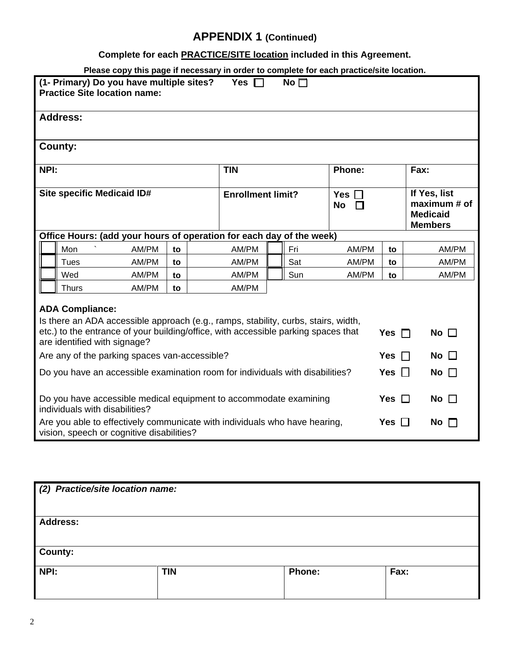## **Complete for each PRACTICE/SITE location included in this Agreement.**

**Please copy this page if necessary in order to complete for each practice/site location.** 

|                                                                                                          | (1- Primary) Do you have multiple sites?<br>Yes $\Box$<br>No $\square$<br><b>Practice Site location name:</b>                                                                                                                                                    |                                                                                                                         |    |  |                          |                        |                                      |               |                                                                   |           |
|----------------------------------------------------------------------------------------------------------|------------------------------------------------------------------------------------------------------------------------------------------------------------------------------------------------------------------------------------------------------------------|-------------------------------------------------------------------------------------------------------------------------|----|--|--------------------------|------------------------|--------------------------------------|---------------|-------------------------------------------------------------------|-----------|
|                                                                                                          | <b>Address:</b>                                                                                                                                                                                                                                                  |                                                                                                                         |    |  |                          |                        |                                      |               |                                                                   |           |
|                                                                                                          | County:                                                                                                                                                                                                                                                          |                                                                                                                         |    |  |                          |                        |                                      |               |                                                                   |           |
| NPI:                                                                                                     |                                                                                                                                                                                                                                                                  |                                                                                                                         |    |  | <b>TIN</b>               |                        |                                      | <b>Phone:</b> |                                                                   | Fax:      |
|                                                                                                          | Site specific Medicaid ID#                                                                                                                                                                                                                                       |                                                                                                                         |    |  | <b>Enrollment limit?</b> |                        | Yes $\square$<br><b>No</b><br>$\Box$ |               | If Yes, list<br>maximum # of<br><b>Medicaid</b><br><b>Members</b> |           |
|                                                                                                          |                                                                                                                                                                                                                                                                  | Office Hours: (add your hours of operation for each day of the week)                                                    |    |  |                          |                        |                                      |               |                                                                   |           |
|                                                                                                          | Mon                                                                                                                                                                                                                                                              | AM/PM                                                                                                                   | to |  | AM/PM                    |                        | Fri                                  | AM/PM         | to                                                                | AM/PM     |
|                                                                                                          | Tues                                                                                                                                                                                                                                                             | AM/PM                                                                                                                   | to |  | AM/PM                    |                        | Sat                                  | AM/PM         | to                                                                | AM/PM     |
|                                                                                                          | Wed                                                                                                                                                                                                                                                              | AM/PM                                                                                                                   | to |  | AM/PM                    |                        | Sun                                  | AM/PM         | to                                                                | AM/PM     |
|                                                                                                          | Thurs                                                                                                                                                                                                                                                            | AM/PM                                                                                                                   | to |  | AM/PM                    |                        |                                      |               |                                                                   |           |
|                                                                                                          | <b>ADA Compliance:</b><br>Is there an ADA accessible approach (e.g., ramps, stability, curbs, stairs, width,<br>etc.) to the entrance of your building/office, with accessible parking spaces that<br>Yes $\Box$<br>No $\square$<br>are identified with signage? |                                                                                                                         |    |  |                          |                        |                                      |               |                                                                   |           |
| Are any of the parking spaces van-accessible?                                                            |                                                                                                                                                                                                                                                                  |                                                                                                                         |    |  | Yes                      | No $\square$<br>$\Box$ |                                      |               |                                                                   |           |
| Yes $\Box$<br>Do you have an accessible examination room for individuals with disabilities?<br>No $\Box$ |                                                                                                                                                                                                                                                                  |                                                                                                                         |    |  |                          |                        |                                      |               |                                                                   |           |
|                                                                                                          | Do you have accessible medical equipment to accommodate examining<br>Yes $\Box$<br>No $\square$<br>individuals with disabilities?                                                                                                                                |                                                                                                                         |    |  |                          |                        |                                      |               |                                                                   |           |
|                                                                                                          |                                                                                                                                                                                                                                                                  | Are you able to effectively communicate with individuals who have hearing,<br>vision, speech or cognitive disabilities? |    |  |                          |                        |                                      |               | Yes $\Box$                                                        | No $\Box$ |

| (2) Practice/site location name: |            |               |      |  |  |
|----------------------------------|------------|---------------|------|--|--|
| <b>Address:</b>                  |            |               |      |  |  |
| <b>County:</b>                   |            |               |      |  |  |
| NPI:                             | <b>TIN</b> | <b>Phone:</b> | Fax: |  |  |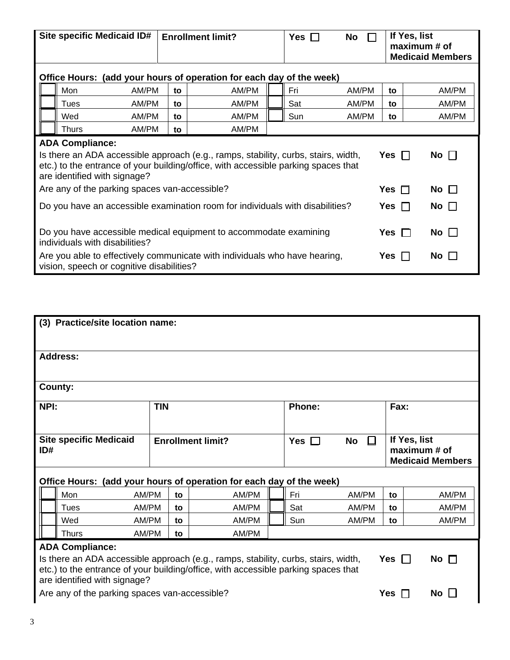|                                                                                                                                                                                                                                                               | Site specific Medicaid ID#                                           |    | <b>Enrollment limit?</b> | Yes<br>$\mathbf{I}$ | No         |              | If Yes, list<br>maximum # of<br><b>Medicaid Members</b> |              |
|---------------------------------------------------------------------------------------------------------------------------------------------------------------------------------------------------------------------------------------------------------------|----------------------------------------------------------------------|----|--------------------------|---------------------|------------|--------------|---------------------------------------------------------|--------------|
|                                                                                                                                                                                                                                                               | Office Hours: (add your hours of operation for each day of the week) |    |                          |                     |            |              |                                                         |              |
|                                                                                                                                                                                                                                                               | Mon<br>AM/PM                                                         | to | AM/PM                    |                     | Fri        | AM/PM        | to                                                      | AM/PM        |
|                                                                                                                                                                                                                                                               | <b>Tues</b><br>AM/PM                                                 | to | AM/PM                    |                     | Sat        | AM/PM        | to                                                      | AM/PM        |
|                                                                                                                                                                                                                                                               | Wed<br>AM/PM                                                         | to | AM/PM                    |                     | Sun        | AM/PM        | to                                                      | AM/PM        |
|                                                                                                                                                                                                                                                               | AM/PM<br><b>Thurs</b>                                                | to | AM/PM                    |                     |            |              |                                                         |              |
| <b>ADA Compliance:</b><br>Is there an ADA accessible approach (e.g., ramps, stability, curbs, stairs, width,<br>No $\Box$<br>Yes $\Box$<br>etc.) to the entrance of your building/office, with accessible parking spaces that<br>are identified with signage? |                                                                      |    |                          |                     |            |              |                                                         |              |
|                                                                                                                                                                                                                                                               | Are any of the parking spaces van-accessible?                        |    |                          |                     |            |              | Yes $\Box$                                              | No $\square$ |
| Do you have an accessible examination room for individuals with disabilities?                                                                                                                                                                                 |                                                                      |    |                          |                     | Yes $\Box$ | No $\Box$    |                                                         |              |
| Do you have accessible medical equipment to accommodate examining<br>individuals with disabilities?                                                                                                                                                           |                                                                      |    |                          |                     | Yes $\Box$ | No $\square$ |                                                         |              |
| Are you able to effectively communicate with individuals who have hearing,<br>vision, speech or cognitive disabilities?                                                                                                                                       |                                                                      |    |                          |                     |            |              | Yes                                                     | No $\Box$    |

|                                                                                                                                                                                                                               | (3) Practice/site location name: |            |    |                                                                      |            |                           |      |                                                         |
|-------------------------------------------------------------------------------------------------------------------------------------------------------------------------------------------------------------------------------|----------------------------------|------------|----|----------------------------------------------------------------------|------------|---------------------------|------|---------------------------------------------------------|
|                                                                                                                                                                                                                               | <b>Address:</b>                  |            |    |                                                                      |            |                           |      |                                                         |
|                                                                                                                                                                                                                               | County:                          |            |    |                                                                      |            |                           |      |                                                         |
| NPI:                                                                                                                                                                                                                          |                                  | <b>TIN</b> |    |                                                                      | Phone:     |                           | Fax: |                                                         |
| ID#                                                                                                                                                                                                                           | <b>Site specific Medicaid</b>    |            |    | <b>Enrollment limit?</b>                                             | Yes $\Box$ | <b>No</b><br>$\mathbf{L}$ |      | If Yes, list<br>maximum # of<br><b>Medicaid Members</b> |
|                                                                                                                                                                                                                               |                                  |            |    | Office Hours: (add your hours of operation for each day of the week) |            |                           |      |                                                         |
|                                                                                                                                                                                                                               | Mon<br>AM/PM                     |            | to | AM/PM                                                                | Fri        | AM/PM                     | to   | AM/PM                                                   |
|                                                                                                                                                                                                                               | AM/PM<br>Tues                    |            | to | AM/PM                                                                | Sat        | AM/PM                     | to   | AM/PM                                                   |
|                                                                                                                                                                                                                               | AM/PM<br>Wed                     |            | to | AM/PM                                                                | Sun        | AM/PM                     | to   | AM/PM                                                   |
|                                                                                                                                                                                                                               | AM/PM<br><b>Thurs</b>            |            | to | AM/PM                                                                |            |                           |      |                                                         |
| <b>ADA Compliance:</b><br>Yes $\Box$<br>No $\Box$<br>Is there an ADA accessible approach (e.g., ramps, stability, curbs, stairs, width,<br>etc.) to the entrance of your building/office, with accessible parking spaces that |                                  |            |    |                                                                      |            |                           |      |                                                         |
| are identified with signage?<br>Are any of the parking spaces van-accessible?                                                                                                                                                 |                                  |            |    |                                                                      |            | <b>Yes</b>                | No l |                                                         |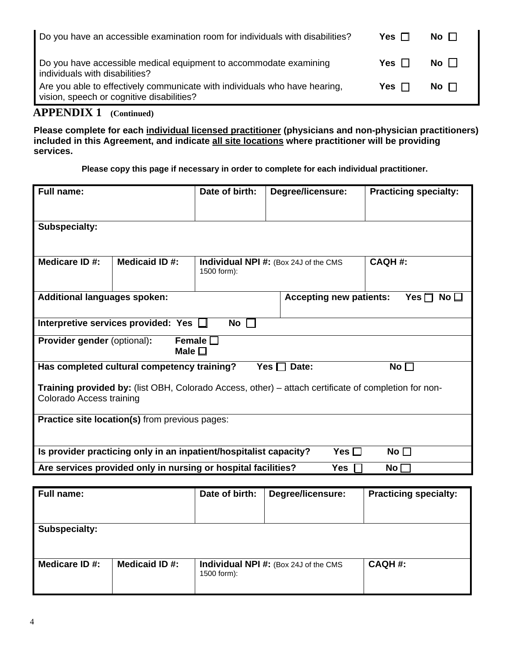| Do you have an accessible examination room for individuals with disabilities?                                           | Yes $\Box$ | No $\Box$ |
|-------------------------------------------------------------------------------------------------------------------------|------------|-----------|
| Do you have accessible medical equipment to accommodate examining<br>individuals with disabilities?                     | Yes $\Box$ | No $\Box$ |
| Are you able to effectively communicate with individuals who have hearing,<br>vision, speech or cognitive disabilities? | Yes $\Box$ | No $\Box$ |

**Please complete for each individual licensed practitioner (physicians and non-physician practitioners) included in this Agreement, and indicate all site locations where practitioner will be providing services.**

**Please copy this page if necessary in order to complete for each individual practitioner.**

| <b>Full name:</b>                                                                                                                |                                                                   | Date of birth:                 | <b>Degree/licensure:</b>                     | <b>Practicing specialty:</b> |  |  |
|----------------------------------------------------------------------------------------------------------------------------------|-------------------------------------------------------------------|--------------------------------|----------------------------------------------|------------------------------|--|--|
| <b>Subspecialty:</b>                                                                                                             |                                                                   |                                |                                              |                              |  |  |
| Medicare ID#:                                                                                                                    | Medicaid ID#:                                                     | 1500 form):                    | <b>Individual NPI #:</b> (Box 24J of the CMS | <b>CAQH#:</b>                |  |  |
| <b>Additional languages spoken:</b>                                                                                              |                                                                   | <b>Accepting new patients:</b> | Yes $\Box$<br>$\mathsf{No} \sqcup$           |                              |  |  |
|                                                                                                                                  | Interpretive services provided: Yes $\Box$                        | No<br>$\mathbf{I}$             |                                              |                              |  |  |
| <b>Provider gender (optional):</b>                                                                                               | Male $\square$                                                    | Female $\square$               |                                              |                              |  |  |
|                                                                                                                                  | Has completed cultural competency training?                       |                                | Yes $\Box$<br>Date:                          | No $\Box$                    |  |  |
| Training provided by: (list OBH, Colorado Access, other) - attach certificate of completion for non-<br>Colorado Access training |                                                                   |                                |                                              |                              |  |  |
| <b>Practice site location(s)</b> from previous pages:                                                                            |                                                                   |                                |                                              |                              |  |  |
|                                                                                                                                  | Is provider practicing only in an inpatient/hospitalist capacity? |                                | Yes $\square$                                | No $\Box$                    |  |  |
|                                                                                                                                  | Are services provided only in nursing or hospital facilities?     |                                | Yes $\Gamma$                                 | No <sub>1</sub>              |  |  |
|                                                                                                                                  |                                                                   |                                |                                              |                              |  |  |

| Full name:           |                | Date of birth: | Degree/licensure:                             | <b>Practicing specialty:</b> |
|----------------------|----------------|----------------|-----------------------------------------------|------------------------------|
| <b>Subspecialty:</b> |                |                |                                               |                              |
| Medicare ID #:       | Medicaid ID #: | 1500 form):    | <b>Individual NPI #:</b> (Box 24J of the CMS) | $CAQH#$ :                    |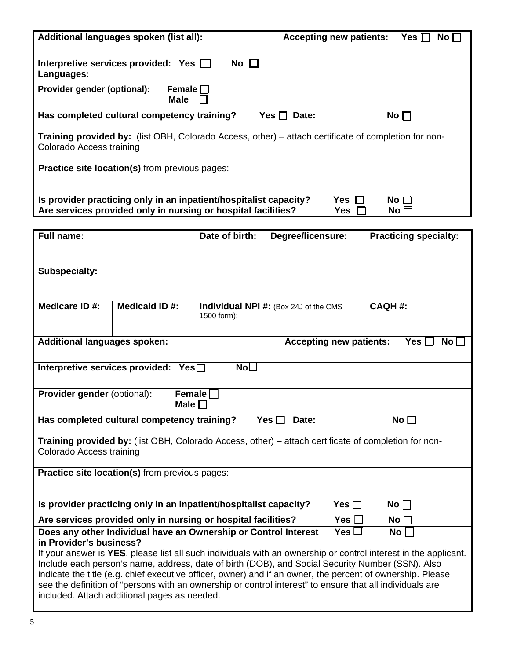|                                                                                                                                                                                                                     | Additional languages spoken (list all):<br><b>Accepting new patients:</b><br>Yes $\Box$<br>No $\Box$ |                 |                                                                                                            |                              |  |  |
|---------------------------------------------------------------------------------------------------------------------------------------------------------------------------------------------------------------------|------------------------------------------------------------------------------------------------------|-----------------|------------------------------------------------------------------------------------------------------------|------------------------------|--|--|
| No $\square$<br>Interpretive services provided: Yes<br>Languages:                                                                                                                                                   |                                                                                                      |                 |                                                                                                            |                              |  |  |
| Provider gender (optional):                                                                                                                                                                                         | Female $\Box$<br><b>Male</b>                                                                         |                 |                                                                                                            |                              |  |  |
|                                                                                                                                                                                                                     | Has completed cultural competency training?                                                          |                 | Date:<br>Yes $\Box$                                                                                        | No <sub>l</sub>              |  |  |
| Colorado Access training                                                                                                                                                                                            |                                                                                                      |                 | Training provided by: (list OBH, Colorado Access, other) – attach certificate of completion for non-       |                              |  |  |
|                                                                                                                                                                                                                     | Practice site location(s) from previous pages:                                                       |                 |                                                                                                            |                              |  |  |
|                                                                                                                                                                                                                     |                                                                                                      |                 |                                                                                                            |                              |  |  |
|                                                                                                                                                                                                                     | Is provider practicing only in an inpatient/hospitalist capacity?                                    |                 | <b>Yes</b>                                                                                                 | No $\Box$                    |  |  |
|                                                                                                                                                                                                                     | Are services provided only in nursing or hospital facilities?                                        |                 | <b>Yes</b>                                                                                                 | No l                         |  |  |
| <b>Full name:</b>                                                                                                                                                                                                   |                                                                                                      | Date of birth:  | Degree/licensure:                                                                                          | <b>Practicing specialty:</b> |  |  |
|                                                                                                                                                                                                                     |                                                                                                      |                 |                                                                                                            |                              |  |  |
| Subspecialty:                                                                                                                                                                                                       |                                                                                                      |                 |                                                                                                            |                              |  |  |
|                                                                                                                                                                                                                     |                                                                                                      |                 |                                                                                                            |                              |  |  |
|                                                                                                                                                                                                                     |                                                                                                      |                 |                                                                                                            |                              |  |  |
| Medicare ID#:                                                                                                                                                                                                       | <b>Medicaid ID#:</b>                                                                                 | 1500 form):     | <b>Individual NPI #:</b> (Box 24J of the CMS                                                               | <b>CAQH#:</b>                |  |  |
| <b>Additional languages spoken:</b>                                                                                                                                                                                 |                                                                                                      |                 | <b>Accepting new patients:</b>                                                                             | Yes [<br>No <sub>1</sub>     |  |  |
|                                                                                                                                                                                                                     | Interpretive services provided: Yes□                                                                 | No <sub>1</sub> |                                                                                                            |                              |  |  |
|                                                                                                                                                                                                                     |                                                                                                      |                 |                                                                                                            |                              |  |  |
| Provider gender (optional):                                                                                                                                                                                         | Male $\square$                                                                                       | Female $\Box$   |                                                                                                            |                              |  |  |
|                                                                                                                                                                                                                     | Has completed cultural competency training?                                                          | Yes [           | Date:                                                                                                      | No <sub>1</sub>              |  |  |
|                                                                                                                                                                                                                     |                                                                                                      |                 |                                                                                                            |                              |  |  |
| Colorado Access training                                                                                                                                                                                            |                                                                                                      |                 | Training provided by: (list OBH, Colorado Access, other) – attach certificate of completion for non-       |                              |  |  |
|                                                                                                                                                                                                                     |                                                                                                      |                 |                                                                                                            |                              |  |  |
| Practice site location(s) from previous pages:                                                                                                                                                                      |                                                                                                      |                 |                                                                                                            |                              |  |  |
|                                                                                                                                                                                                                     |                                                                                                      |                 |                                                                                                            |                              |  |  |
| Is provider practicing only in an inpatient/hospitalist capacity?<br>Yes $\Box$<br>No $\Box$                                                                                                                        |                                                                                                      |                 |                                                                                                            |                              |  |  |
| Are services provided only in nursing or hospital facilities?<br>Yes $\square$<br>No <sub>l</sub><br>Does any other Individual have an Ownership or Control Interest<br>Yes $\mathsf{\mathsf{L}}$<br>No             |                                                                                                      |                 |                                                                                                            |                              |  |  |
| in Provider's business?                                                                                                                                                                                             |                                                                                                      |                 |                                                                                                            |                              |  |  |
| If your answer is YES, please list all such individuals with an ownership or control interest in the applicant.<br>Include each person's name, address, date of birth (DOB), and Social Security Number (SSN). Also |                                                                                                      |                 |                                                                                                            |                              |  |  |
|                                                                                                                                                                                                                     |                                                                                                      |                 | indicate the title (e.g. chief executive officer, owner) and if an owner, the percent of ownership. Please |                              |  |  |
|                                                                                                                                                                                                                     |                                                                                                      |                 | see the definition of "persons with an ownership or control interest" to ensure that all individuals are   |                              |  |  |
| included. Attach additional pages as needed.                                                                                                                                                                        |                                                                                                      |                 |                                                                                                            |                              |  |  |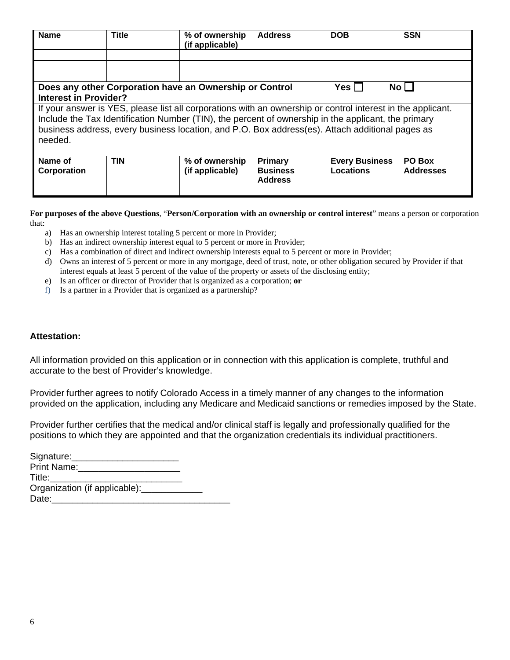| <b>Name</b>                                                                                                                                                                                                                                                                                                                      | <b>Title</b> | % of ownership<br>(if applicable)                       | <b>Address</b>                    | <b>DOB</b>            | <b>SSN</b>       |  |
|----------------------------------------------------------------------------------------------------------------------------------------------------------------------------------------------------------------------------------------------------------------------------------------------------------------------------------|--------------|---------------------------------------------------------|-----------------------------------|-----------------------|------------------|--|
|                                                                                                                                                                                                                                                                                                                                  |              |                                                         |                                   |                       |                  |  |
|                                                                                                                                                                                                                                                                                                                                  |              |                                                         |                                   |                       |                  |  |
|                                                                                                                                                                                                                                                                                                                                  |              |                                                         |                                   |                       |                  |  |
|                                                                                                                                                                                                                                                                                                                                  |              | Does any other Corporation have an Ownership or Control |                                   | Yes $\Box$            | No <sub>1</sub>  |  |
| <b>Interest in Provider?</b>                                                                                                                                                                                                                                                                                                     |              |                                                         |                                   |                       |                  |  |
| If your answer is YES, please list all corporations with an ownership or control interest in the applicant.<br>Include the Tax Identification Number (TIN), the percent of ownership in the applicant, the primary<br>business address, every business location, and P.O. Box address(es). Attach additional pages as<br>needed. |              |                                                         |                                   |                       |                  |  |
| Name of                                                                                                                                                                                                                                                                                                                          | <b>TIN</b>   | % of ownership                                          | Primary                           | <b>Every Business</b> | PO Box           |  |
| Corporation                                                                                                                                                                                                                                                                                                                      |              | (if applicable)                                         | <b>Business</b><br><b>Address</b> | <b>Locations</b>      | <b>Addresses</b> |  |
|                                                                                                                                                                                                                                                                                                                                  |              |                                                         |                                   |                       |                  |  |

**For purposes of the above Questions**, "**Person/Corporation with an ownership or control interest**" means a person or corporation that:

- a) Has an ownership interest totaling 5 percent or more in Provider;
- b) Has an indirect ownership interest equal to 5 percent or more in Provider;
- c) Has a combination of direct and indirect ownership interests equal to 5 percent or more in Provider;
- d) Owns an interest of 5 percent or more in any mortgage, deed of trust, note, or other obligation secured by Provider if that interest equals at least 5 percent of the value of the property or assets of the disclosing entity;
- e) Is an officer or director of Provider that is organized as a corporation; **or**
- f) Is a partner in a Provider that is organized as a partnership?

#### **Attestation:**

All information provided on this application or in connection with this application is complete, truthful and accurate to the best of Provider's knowledge.

Provider further agrees to notify Colorado Access in a timely manner of any changes to the information provided on the application, including any Medicare and Medicaid sanctions or remedies imposed by the State.

Provider further certifies that the medical and/or clinical staff is legally and professionally qualified for the positions to which they are appointed and that the organization credentials its individual practitioners.

| Signature:                                  |  |
|---------------------------------------------|--|
| Print Name: 2008                            |  |
| Title: Title:                               |  |
| Organization (if applicable): _____________ |  |
| Date:                                       |  |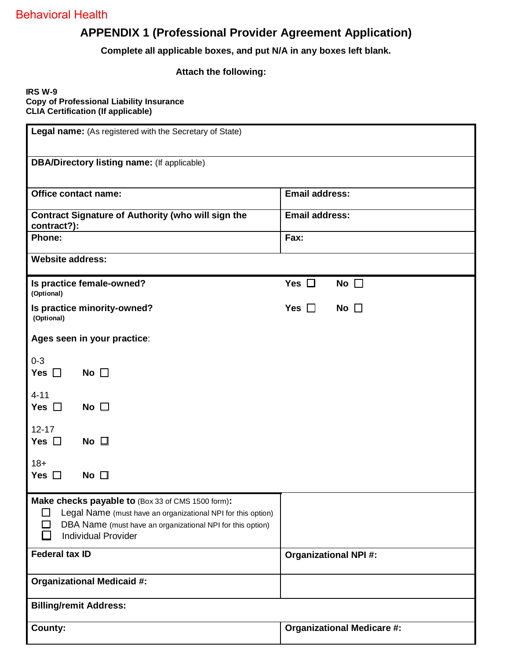## **APPENDIX 1 (Professional Provider Agreement Application)**

**Complete all applicable boxes, and put N/A in any boxes left blank.**

#### **Attach the following:**

#### **IRS W-9 Copy of Professional Liability Insurance CLIA Certification (If applicable)**

| Legal name: (As registered with the Secretary of State)                                                                                                                                                             |                                   |  |  |  |  |  |
|---------------------------------------------------------------------------------------------------------------------------------------------------------------------------------------------------------------------|-----------------------------------|--|--|--|--|--|
| <b>DBA/Directory listing name:</b> (If applicable)                                                                                                                                                                  |                                   |  |  |  |  |  |
| Office contact name:                                                                                                                                                                                                | <b>Email address:</b>             |  |  |  |  |  |
| <b>Contract Signature of Authority (who will sign the</b><br>contract?):                                                                                                                                            | <b>Email address:</b>             |  |  |  |  |  |
| Phone:                                                                                                                                                                                                              | Fax:                              |  |  |  |  |  |
| <b>Website address:</b>                                                                                                                                                                                             |                                   |  |  |  |  |  |
| Is practice female-owned?<br>(Optional)                                                                                                                                                                             | Yes $\square$<br>No $\square$     |  |  |  |  |  |
| Is practice minority-owned?<br>(Optional)                                                                                                                                                                           | Yes $\Box$<br>No $\square$        |  |  |  |  |  |
| Ages seen in your practice:                                                                                                                                                                                         |                                   |  |  |  |  |  |
| $0 - 3$<br>Yes $\Box$<br>No $\Box$                                                                                                                                                                                  |                                   |  |  |  |  |  |
| $4 - 11$<br>Yes $\square$<br>No $\square$                                                                                                                                                                           |                                   |  |  |  |  |  |
| $12 - 17$<br>Yes $\Box$<br>$No$ $\Box$                                                                                                                                                                              |                                   |  |  |  |  |  |
| $18+$<br>No $\Box$<br>Yes $\Box$                                                                                                                                                                                    |                                   |  |  |  |  |  |
| Make checks payable to (Box 33 of CMS 1500 form):<br>Legal Name (must have an organizational NPI for this option)<br>ΙI<br>DBA Name (must have an organizational NPI for this option)<br><b>Individual Provider</b> |                                   |  |  |  |  |  |
| <b>Federal tax ID</b>                                                                                                                                                                                               | <b>Organizational NPI#:</b>       |  |  |  |  |  |
| <b>Organizational Medicaid #:</b>                                                                                                                                                                                   |                                   |  |  |  |  |  |
| <b>Billing/remit Address:</b>                                                                                                                                                                                       |                                   |  |  |  |  |  |
| County:                                                                                                                                                                                                             | <b>Organizational Medicare #:</b> |  |  |  |  |  |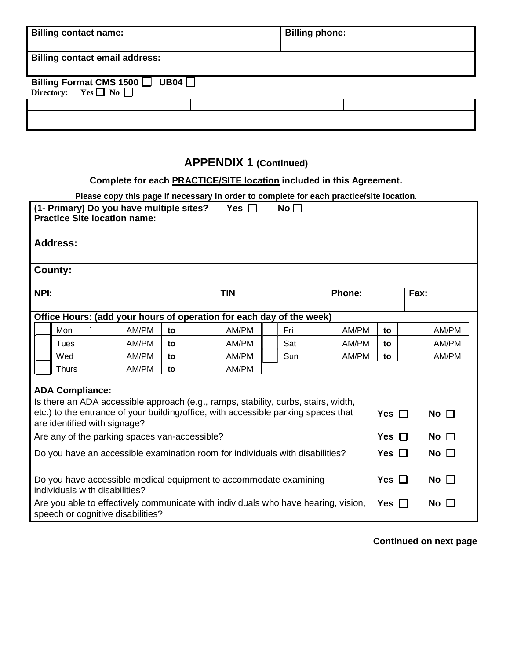| <b>Billing contact name:</b>                                                  | <b>Billing phone:</b> |  |
|-------------------------------------------------------------------------------|-----------------------|--|
| <b>Billing contact email address:</b>                                         |                       |  |
| Billing Format CMS 1500 $\Box$ UB04 $\Box$<br>Directory: Yes $\Box$ No $\Box$ |                       |  |
|                                                                               |                       |  |
|                                                                               |                       |  |

## **Complete for each PRACTICE/SITE location included in this Agreement.**

|                                                                                                                                                                                                                                                                                     | Please copy this page if necessary in order to complete for each practice/site location. |
|-------------------------------------------------------------------------------------------------------------------------------------------------------------------------------------------------------------------------------------------------------------------------------------|------------------------------------------------------------------------------------------|
| $\ldots$ . The contract of the contract of the contract of $\mathbf{M}$ and $\mathbf{M}$ and $\mathbf{M}$ and $\mathbf{M}$ and $\mathbf{M}$ and $\mathbf{M}$ and $\mathbf{M}$ and $\mathbf{M}$ and $\mathbf{M}$ and $\mathbf{M}$ and $\mathbf{M}$ and $\mathbf{M}$ and $\mathbf{M}$ |                                                                                          |

| (1- Primary) Do you have multiple sites?<br>Yes <b>I</b><br>No $\Box$<br><b>Practice Site location name:</b> |                                                                                                                                                                                                                                                               |    |            |     |               |            |              |
|--------------------------------------------------------------------------------------------------------------|---------------------------------------------------------------------------------------------------------------------------------------------------------------------------------------------------------------------------------------------------------------|----|------------|-----|---------------|------------|--------------|
| <b>Address:</b>                                                                                              |                                                                                                                                                                                                                                                               |    |            |     |               |            |              |
| County:                                                                                                      |                                                                                                                                                                                                                                                               |    |            |     |               |            |              |
| NPI:                                                                                                         |                                                                                                                                                                                                                                                               |    | <b>TIN</b> |     | <b>Phone:</b> |            | Fax:         |
|                                                                                                              | Office Hours: (add your hours of operation for each day of the week)                                                                                                                                                                                          |    |            |     |               |            |              |
| Mon                                                                                                          | AM/PM                                                                                                                                                                                                                                                         | to | AM/PM      | Fri | AM/PM         | to         | AM/PM        |
| Tues                                                                                                         | AM/PM                                                                                                                                                                                                                                                         | to | AM/PM      | Sat | AM/PM         | to         | AM/PM        |
| Wed                                                                                                          | AM/PM                                                                                                                                                                                                                                                         | to | AM/PM      | Sun | AM/PM         | to         | AM/PM        |
|                                                                                                              | AM/PM<br>AM/PM<br>Thurs<br>to                                                                                                                                                                                                                                 |    |            |     |               |            |              |
|                                                                                                              | <b>ADA Compliance:</b><br>Is there an ADA accessible approach (e.g., ramps, stability, curbs, stairs, width,<br>etc.) to the entrance of your building/office, with accessible parking spaces that<br>Yes $\Box$<br>No $\Box$<br>are identified with signage? |    |            |     |               |            |              |
| Are any of the parking spaces van-accessible?                                                                |                                                                                                                                                                                                                                                               |    |            |     |               | Yes $\Box$ | No $\square$ |
| Do you have an accessible examination room for individuals with disabilities?<br>Yes $\Box$<br>No $\square$  |                                                                                                                                                                                                                                                               |    |            |     |               |            |              |
|                                                                                                              | Do you have accessible medical equipment to accommodate examining<br>Yes $\Box$<br>No $\square$<br>individuals with disabilities?                                                                                                                             |    |            |     |               |            |              |
|                                                                                                              | Are you able to effectively communicate with individuals who have hearing, vision,<br>No $\Box$<br>Yes $  $<br>speech or cognitive disabilities?                                                                                                              |    |            |     |               |            |              |

 **Continued on next page**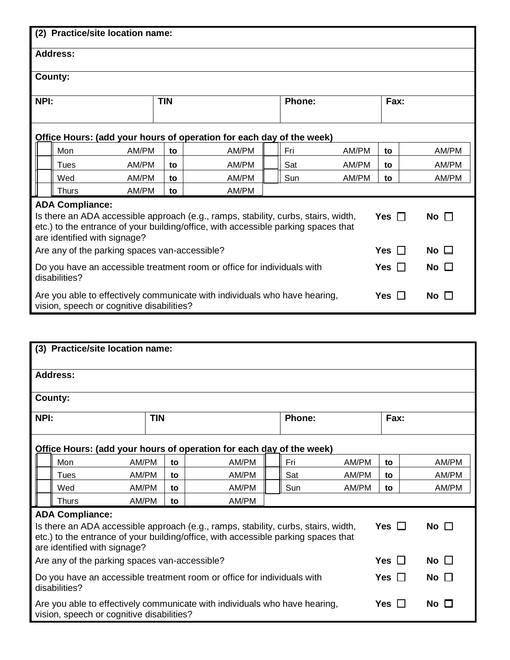| (2) Practice/site location name:                                                                                                                                                                                                                              |                                           |    |                                                                            |  |     |       |            |              |
|---------------------------------------------------------------------------------------------------------------------------------------------------------------------------------------------------------------------------------------------------------------|-------------------------------------------|----|----------------------------------------------------------------------------|--|-----|-------|------------|--------------|
| <b>Address:</b>                                                                                                                                                                                                                                               |                                           |    |                                                                            |  |     |       |            |              |
| County:                                                                                                                                                                                                                                                       |                                           |    |                                                                            |  |     |       |            |              |
| <b>TIN</b><br>NPI:<br>Phone:<br>Fax:                                                                                                                                                                                                                          |                                           |    |                                                                            |  |     |       |            |              |
| Office Hours: (add your hours of operation for each day of the week)                                                                                                                                                                                          |                                           |    |                                                                            |  |     |       |            |              |
| Mon                                                                                                                                                                                                                                                           | AM/PM                                     | to | AM/PM                                                                      |  | Fri | AM/PM | to         | AM/PM        |
| Tues                                                                                                                                                                                                                                                          | AM/PM                                     | to | AM/PM                                                                      |  | Sat | AM/PM | to         | AM/PM        |
| AM/PM<br>AM/PM<br>Wed<br>to                                                                                                                                                                                                                                   |                                           |    |                                                                            |  | Sun | AM/PM | to         | AM/PM        |
| <b>Thurs</b>                                                                                                                                                                                                                                                  | AM/PM                                     | to | AM/PM                                                                      |  |     |       |            |              |
| <b>ADA Compliance:</b><br>Is there an ADA accessible approach (e.g., ramps, stability, curbs, stairs, width,<br>Yes $\Box$<br>No $\Box$<br>etc.) to the entrance of your building/office, with accessible parking spaces that<br>are identified with signage? |                                           |    |                                                                            |  |     |       |            |              |
| No $\square$<br>Yes $\Box$<br>Are any of the parking spaces van-accessible?                                                                                                                                                                                   |                                           |    |                                                                            |  |     |       |            |              |
| No $\square$<br>Do you have an accessible treatment room or office for individuals with<br>Yes II<br>disabilities?                                                                                                                                            |                                           |    |                                                                            |  |     |       |            |              |
|                                                                                                                                                                                                                                                               | vision, speech or cognitive disabilities? |    | Are you able to effectively communicate with individuals who have hearing, |  |     |       | Yes $\Box$ | No $\square$ |

|      | (3) Practice/site location name:                                                                                                                                                                                                                                    |            |    |                                                                      |        |       |      |       |
|------|---------------------------------------------------------------------------------------------------------------------------------------------------------------------------------------------------------------------------------------------------------------------|------------|----|----------------------------------------------------------------------|--------|-------|------|-------|
|      | Address:                                                                                                                                                                                                                                                            |            |    |                                                                      |        |       |      |       |
|      | County:                                                                                                                                                                                                                                                             |            |    |                                                                      |        |       |      |       |
| NPI: |                                                                                                                                                                                                                                                                     | <b>TIN</b> |    |                                                                      | Phone: |       | Fax: |       |
|      |                                                                                                                                                                                                                                                                     |            |    | Office Hours: (add your hours of operation for each day of the week) |        |       |      |       |
|      | Mon                                                                                                                                                                                                                                                                 | AM/PM      | to | AM/PM                                                                | Fri    | AM/PM | to   | AM/PM |
|      | Tues                                                                                                                                                                                                                                                                | AM/PM      | to | AM/PM                                                                | Sat    | AM/PM | to   | AM/PM |
|      | Wed                                                                                                                                                                                                                                                                 | AM/PM      | to | AM/PM                                                                | Sun    | AM/PM | to   | AM/PM |
|      | <b>Thurs</b>                                                                                                                                                                                                                                                        | AM/PM      | to | AM/PM                                                                |        |       |      |       |
|      | <b>ADA Compliance:</b><br>Yes $\square$<br>No $\square$<br>Is there an ADA accessible approach (e.g., ramps, stability, curbs, stairs, width,<br>etc.) to the entrance of your building/office, with accessible parking spaces that<br>are identified with signage? |            |    |                                                                      |        |       |      |       |
|      | Yes $\Box$<br>No $\Box$<br>Are any of the parking spaces van-accessible?                                                                                                                                                                                            |            |    |                                                                      |        |       |      |       |
|      | No $\square$<br>Do you have an accessible treatment room or office for individuals with<br>Yes $\Box$<br>disabilities?                                                                                                                                              |            |    |                                                                      |        |       |      |       |
|      | Are you able to effectively communicate with individuals who have hearing,<br>Yes<br>No $\Box$<br>$\perp$<br>vision, speech or cognitive disabilities?                                                                                                              |            |    |                                                                      |        |       |      |       |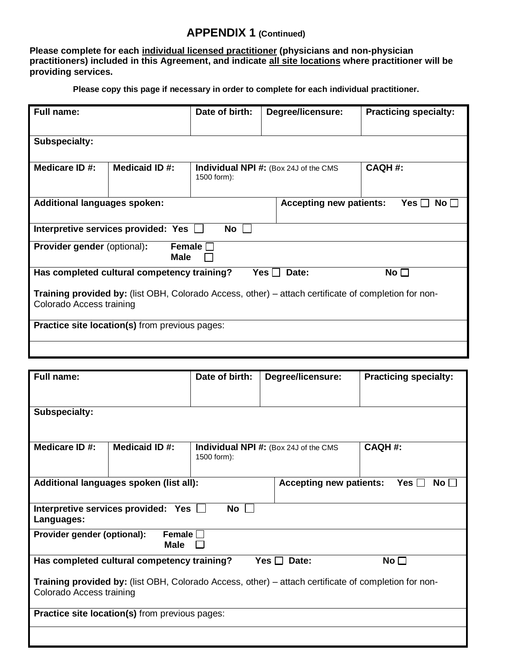**Please complete for each individual licensed practitioner (physicians and non-physician practitioners) included in this Agreement, and indicate all site locations where practitioner will be providing services.**

**Please copy this page if necessary in order to complete for each individual practitioner.**

| <b>Full name:</b>                                                                                                                       |                                     | Date of birth: | Degree/licensure:                     | <b>Practicing specialty:</b> |  |  |
|-----------------------------------------------------------------------------------------------------------------------------------------|-------------------------------------|----------------|---------------------------------------|------------------------------|--|--|
| <b>Subspecialty:</b>                                                                                                                    |                                     |                |                                       |                              |  |  |
| Medicare ID #:                                                                                                                          | Medicaid ID#:                       | 1500 form):    | Individual NPI #: (Box 24J of the CMS | <b>CAQH#:</b>                |  |  |
| <b>Additional languages spoken:</b><br><b>Accepting new patients:</b><br>Yes $\Box$<br>No II                                            |                                     |                |                                       |                              |  |  |
|                                                                                                                                         | Interpretive services provided: Yes | No             |                                       |                              |  |  |
| <b>Provider gender (optional):</b><br>Female $\Box$<br>Male                                                                             |                                     |                |                                       |                              |  |  |
| Has completed cultural competency training?<br>No $\square$<br>Date:<br>Yes $\Box$                                                      |                                     |                |                                       |                              |  |  |
| <b>Training provided by:</b> (list OBH, Colorado Access, other) – attach certificate of completion for non-<br>Colorado Access training |                                     |                |                                       |                              |  |  |
| <b>Practice site location(s)</b> from previous pages:                                                                                   |                                     |                |                                       |                              |  |  |
|                                                                                                                                         |                                     |                |                                       |                              |  |  |

| <b>Full name:</b>                                                                                                                |                                                       | Date of birth: | Degree/licensure:                            | <b>Practicing specialty:</b> |  |  |
|----------------------------------------------------------------------------------------------------------------------------------|-------------------------------------------------------|----------------|----------------------------------------------|------------------------------|--|--|
|                                                                                                                                  |                                                       |                |                                              |                              |  |  |
| <b>Subspecialty:</b>                                                                                                             |                                                       |                |                                              |                              |  |  |
| Medicare ID #:                                                                                                                   | Medicaid ID #:                                        | 1500 form):    | <b>Individual NPI #:</b> (Box 24J of the CMS | <b>CAQH#:</b>                |  |  |
| Additional languages spoken (list all):<br><b>Accepting new patients:</b><br>Yes ⊟<br>No <sub>1</sub>                            |                                                       |                |                                              |                              |  |  |
| Languages:                                                                                                                       | Interpretive services provided: Yes                   | No             |                                              |                              |  |  |
| Provider gender (optional):<br>Female $\Box$<br><b>Male</b>                                                                      |                                                       |                |                                              |                              |  |  |
| Has completed cultural competency training?<br>No <sub>1</sub><br>Yes $\Box$<br>Date:                                            |                                                       |                |                                              |                              |  |  |
| Training provided by: (list OBH, Colorado Access, other) – attach certificate of completion for non-<br>Colorado Access training |                                                       |                |                                              |                              |  |  |
|                                                                                                                                  | <b>Practice site location(s)</b> from previous pages: |                |                                              |                              |  |  |
|                                                                                                                                  |                                                       |                |                                              |                              |  |  |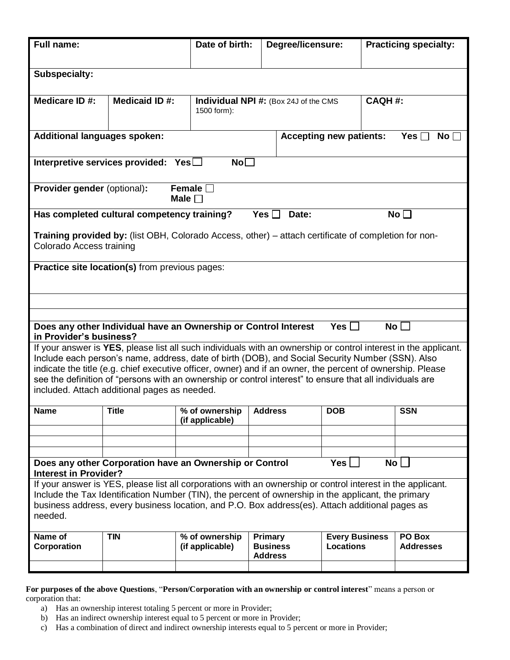| Full name:                                                                                                                                                                                                                                                                                                                                                                                                                                                                                    |                                                                                                                                  | Date of birth:                                                  |                                                               | Degree/licensure: |                                           |  | <b>Practicing specialty:</b> |
|-----------------------------------------------------------------------------------------------------------------------------------------------------------------------------------------------------------------------------------------------------------------------------------------------------------------------------------------------------------------------------------------------------------------------------------------------------------------------------------------------|----------------------------------------------------------------------------------------------------------------------------------|-----------------------------------------------------------------|---------------------------------------------------------------|-------------------|-------------------------------------------|--|------------------------------|
|                                                                                                                                                                                                                                                                                                                                                                                                                                                                                               |                                                                                                                                  |                                                                 |                                                               |                   |                                           |  |                              |
| Subspecialty:                                                                                                                                                                                                                                                                                                                                                                                                                                                                                 |                                                                                                                                  |                                                                 |                                                               |                   |                                           |  |                              |
| Medicare ID #:                                                                                                                                                                                                                                                                                                                                                                                                                                                                                | <b>Medicaid ID#:</b>                                                                                                             | 1500 form):                                                     | <b>CAQH#:</b><br><b>Individual NPI #:</b> (Box 24J of the CMS |                   |                                           |  |                              |
| <b>Additional languages spoken:</b><br><b>Accepting new patients:</b><br>Yes $\lceil$<br>No [                                                                                                                                                                                                                                                                                                                                                                                                 |                                                                                                                                  |                                                                 |                                                               |                   |                                           |  |                              |
|                                                                                                                                                                                                                                                                                                                                                                                                                                                                                               | No <sub>1</sub><br>Interpretive services provided: $Yes \Box$                                                                    |                                                                 |                                                               |                   |                                           |  |                              |
| Provider gender (optional):                                                                                                                                                                                                                                                                                                                                                                                                                                                                   |                                                                                                                                  | Female $\square$<br>Male $\Box$                                 |                                                               |                   |                                           |  |                              |
| Has completed cultural competency training?                                                                                                                                                                                                                                                                                                                                                                                                                                                   |                                                                                                                                  |                                                                 | Yes $\Box$                                                    | Date:             |                                           |  | No $\square$                 |
|                                                                                                                                                                                                                                                                                                                                                                                                                                                                                               | Training provided by: (list OBH, Colorado Access, other) – attach certificate of completion for non-<br>Colorado Access training |                                                                 |                                                               |                   |                                           |  |                              |
| Practice site location(s) from previous pages:                                                                                                                                                                                                                                                                                                                                                                                                                                                |                                                                                                                                  |                                                                 |                                                               |                   |                                           |  |                              |
|                                                                                                                                                                                                                                                                                                                                                                                                                                                                                               |                                                                                                                                  |                                                                 |                                                               |                   |                                           |  |                              |
|                                                                                                                                                                                                                                                                                                                                                                                                                                                                                               |                                                                                                                                  |                                                                 |                                                               |                   |                                           |  |                              |
| in Provider's business?                                                                                                                                                                                                                                                                                                                                                                                                                                                                       |                                                                                                                                  | Does any other Individual have an Ownership or Control Interest |                                                               |                   | Yes $\Box$                                |  | No <sub>1</sub>              |
| If your answer is YES, please list all such individuals with an ownership or control interest in the applicant.<br>Include each person's name, address, date of birth (DOB), and Social Security Number (SSN). Also<br>indicate the title (e.g. chief executive officer, owner) and if an owner, the percent of ownership. Please<br>see the definition of "persons with an ownership or control interest" to ensure that all individuals are<br>included. Attach additional pages as needed. |                                                                                                                                  |                                                                 |                                                               |                   |                                           |  |                              |
| <b>Name</b>                                                                                                                                                                                                                                                                                                                                                                                                                                                                                   | <b>Title</b>                                                                                                                     | % of ownership<br>(if applicable)                               | <b>Address</b>                                                |                   | <b>DOB</b>                                |  | SSN                          |
|                                                                                                                                                                                                                                                                                                                                                                                                                                                                                               |                                                                                                                                  |                                                                 |                                                               |                   |                                           |  |                              |
|                                                                                                                                                                                                                                                                                                                                                                                                                                                                                               |                                                                                                                                  |                                                                 |                                                               |                   |                                           |  |                              |
| Does any other Corporation have an Ownership or Control<br>Yes <br>No <sub>1</sub><br><b>Interest in Provider?</b>                                                                                                                                                                                                                                                                                                                                                                            |                                                                                                                                  |                                                                 |                                                               |                   |                                           |  |                              |
| If your answer is YES, please list all corporations with an ownership or control interest in the applicant.<br>Include the Tax Identification Number (TIN), the percent of ownership in the applicant, the primary<br>business address, every business location, and P.O. Box address(es). Attach additional pages as<br>needed.                                                                                                                                                              |                                                                                                                                  |                                                                 |                                                               |                   |                                           |  |                              |
| Name of<br>Corporation                                                                                                                                                                                                                                                                                                                                                                                                                                                                        | <b>TIN</b>                                                                                                                       | % of ownership<br>(if applicable)                               | Primary<br><b>Business</b><br><b>Address</b>                  |                   | <b>Every Business</b><br><b>Locations</b> |  | PO Box<br><b>Addresses</b>   |
|                                                                                                                                                                                                                                                                                                                                                                                                                                                                                               |                                                                                                                                  |                                                                 |                                                               |                   |                                           |  |                              |

**For purposes of the above Questions**, "**Person/Corporation with an ownership or control interest**" means a person or corporation that:

- a) Has an ownership interest totaling 5 percent or more in Provider;
- b) Has an indirect ownership interest equal to 5 percent or more in Provider;
- c) Has a combination of direct and indirect ownership interests equal to 5 percent or more in Provider;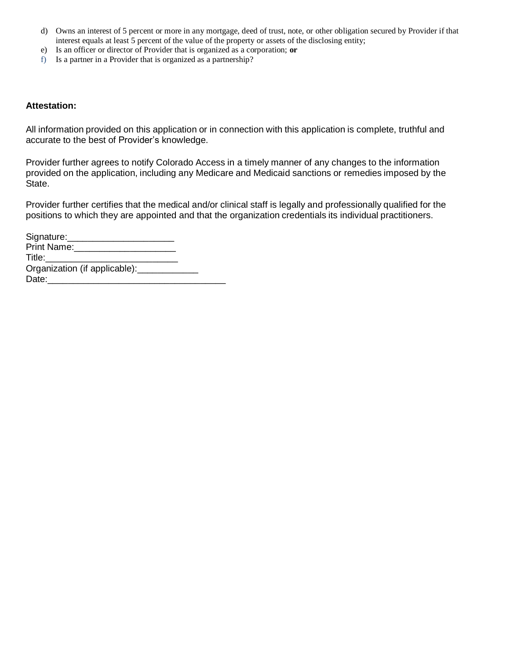- d) Owns an interest of 5 percent or more in any mortgage, deed of trust, note, or other obligation secured by Provider if that interest equals at least 5 percent of the value of the property or assets of the disclosing entity;
- e) Is an officer or director of Provider that is organized as a corporation; **or**
- f) Is a partner in a Provider that is organized as a partnership?

#### **Attestation:**

All information provided on this application or in connection with this application is complete, truthful and accurate to the best of Provider's knowledge.

Provider further agrees to notify Colorado Access in a timely manner of any changes to the information provided on the application, including any Medicare and Medicaid sanctions or remedies imposed by the State.

Provider further certifies that the medical and/or clinical staff is legally and professionally qualified for the positions to which they are appointed and that the organization credentials its individual practitioners.

| Signature:___________                 |  |
|---------------------------------------|--|
| Print Name: Name                      |  |
| Title:                                |  |
| Organization (if applicable): _______ |  |
| Date:                                 |  |